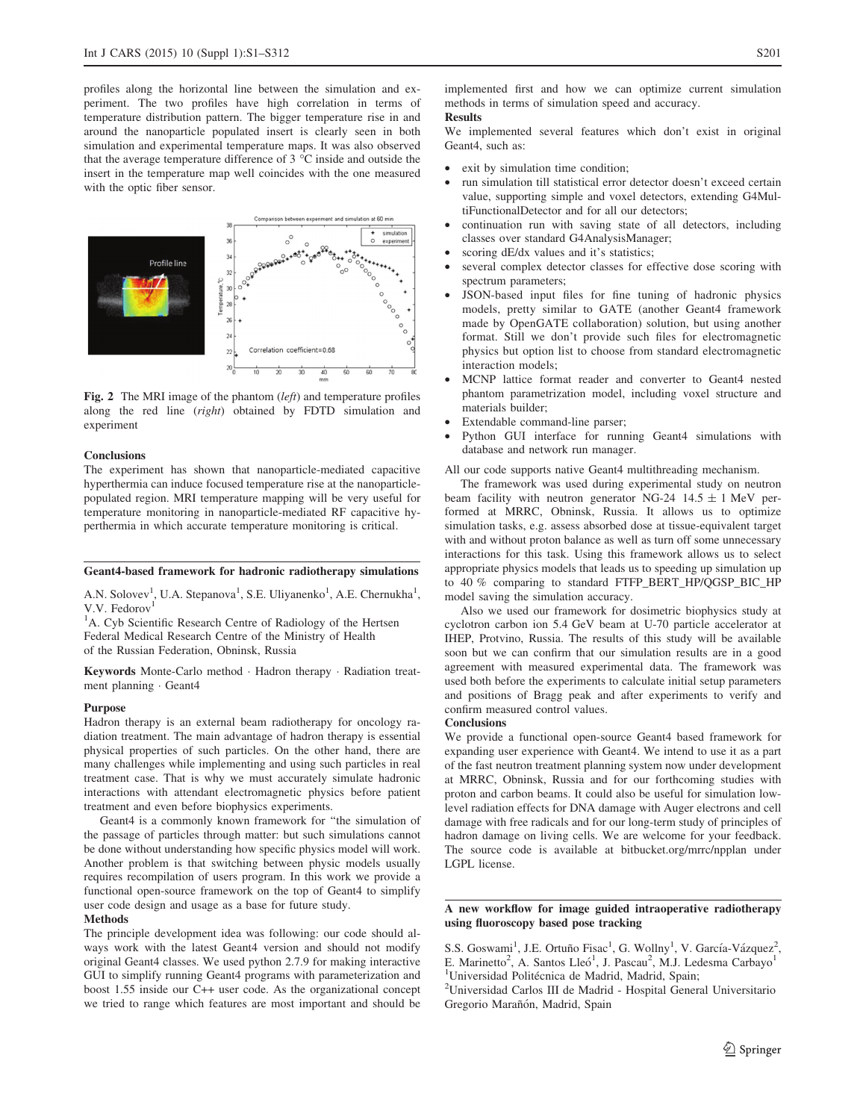profiles along the horizontal line between the simulation and experiment. The two profiles have high correlation in terms of temperature distribution pattern. The bigger temperature rise in and around the nanoparticle populated insert is clearly seen in both simulation and experimental temperature maps. It was also observed that the average temperature difference of  $3^{\circ}$ C inside and outside the insert in the temperature map well coincides with the one measured with the optic fiber sensor.



Fig. 2 The MRI image of the phantom (left) and temperature profiles along the red line (right) obtained by FDTD simulation and experiment

#### **Conclusions**

The experiment has shown that nanoparticle-mediated capacitive hyperthermia can induce focused temperature rise at the nanoparticlepopulated region. MRI temperature mapping will be very useful for temperature monitoring in nanoparticle-mediated RF capacitive hyperthermia in which accurate temperature monitoring is critical.

#### Geant4-based framework for hadronic radiotherapy simulations

A.N. Solovev<sup>1</sup>, U.A. Stepanova<sup>1</sup>, S.E. Uliyanenko<sup>1</sup>, A.E. Chernukha<sup>1</sup>, V.V. Fedorov<sup>1</sup>

<sup>1</sup>A. Cyb Scientific Research Centre of Radiology of the Hertsen Federal Medical Research Centre of the Ministry of Health of the Russian Federation, Obninsk, Russia

Keywords Monte-Carlo method · Hadron therapy · Radiation treatment planning · Geant4

#### Purpose

Hadron therapy is an external beam radiotherapy for oncology radiation treatment. The main advantage of hadron therapy is essential physical properties of such particles. On the other hand, there are many challenges while implementing and using such particles in real treatment case. That is why we must accurately simulate hadronic interactions with attendant electromagnetic physics before patient treatment and even before biophysics experiments.

Geant4 is a commonly known framework for ''the simulation of the passage of particles through matter: but such simulations cannot be done without understanding how specific physics model will work. Another problem is that switching between physic models usually requires recompilation of users program. In this work we provide a functional open-source framework on the top of Geant4 to simplify user code design and usage as a base for future study.

#### Methods

The principle development idea was following: our code should always work with the latest Geant4 version and should not modify original Geant4 classes. We used python 2.7.9 for making interactive GUI to simplify running Geant4 programs with parameterization and boost 1.55 inside our C++ user code. As the organizational concept we tried to range which features are most important and should be

implemented first and how we can optimize current simulation methods in terms of simulation speed and accuracy.

### Results

We implemented several features which don't exist in original Geant4, such as:

- exit by simulation time condition;
- run simulation till statistical error detector doesn't exceed certain value, supporting simple and voxel detectors, extending G4MultiFunctionalDetector and for all our detectors;
- continuation run with saving state of all detectors, including classes over standard G4AnalysisManager;
- scoring dE/dx values and it's statistics;
- several complex detector classes for effective dose scoring with spectrum parameters;
- JSON-based input files for fine tuning of hadronic physics models, pretty similar to GATE (another Geant4 framework made by OpenGATE collaboration) solution, but using another format. Still we don't provide such files for electromagnetic physics but option list to choose from standard electromagnetic interaction models;
- MCNP lattice format reader and converter to Geant4 nested phantom parametrization model, including voxel structure and materials builder;
- Extendable command-line parser;
- Python GUI interface for running Geant4 simulations with database and network run manager.

All our code supports native Geant4 multithreading mechanism.

The framework was used during experimental study on neutron beam facility with neutron generator NG-24  $14.5 \pm 1$  MeV performed at MRRC, Obninsk, Russia. It allows us to optimize simulation tasks, e.g. assess absorbed dose at tissue-equivalent target with and without proton balance as well as turn off some unnecessary interactions for this task. Using this framework allows us to select appropriate physics models that leads us to speeding up simulation up to 40 % comparing to standard FTFP\_BERT\_HP/QGSP\_BIC\_HP model saving the simulation accuracy.

Also we used our framework for dosimetric biophysics study at cyclotron carbon ion 5.4 GeV beam at U-70 particle accelerator at IHEP, Protvino, Russia. The results of this study will be available soon but we can confirm that our simulation results are in a good agreement with measured experimental data. The framework was used both before the experiments to calculate initial setup parameters and positions of Bragg peak and after experiments to verify and confirm measured control values.

# **Conclusions**

We provide a functional open-source Geant4 based framework for expanding user experience with Geant4. We intend to use it as a part of the fast neutron treatment planning system now under development at MRRC, Obninsk, Russia and for our forthcoming studies with proton and carbon beams. It could also be useful for simulation lowlevel radiation effects for DNA damage with Auger electrons and cell damage with free radicals and for our long-term study of principles of hadron damage on living cells. We are welcome for your feedback. The source code is available at bitbucket.org/mrrc/npplan under LGPL license.

# A new workflow for image guided intraoperative radiotherapy using fluoroscopy based pose tracking

S.S. Goswami<sup>1</sup>, J.E. Ortuño Fisac<sup>1</sup>, G. Wollny<sup>1</sup>, V. García-Vázquez<sup>2</sup>, E. Marinetto<sup>2</sup>, A. Santos Lleó<sup>1</sup>, J. Pascau<sup>2</sup>, M.J. Ledesma Carbayo<sup>1</sup>

<sup>1</sup>Universidad Politécnica de Madrid, Madrid, Spain;

<sup>&</sup>lt;sup>2</sup>Universidad Carlos III de Madrid - Hospital General Universitario Gregorio Marañón, Madrid, Spain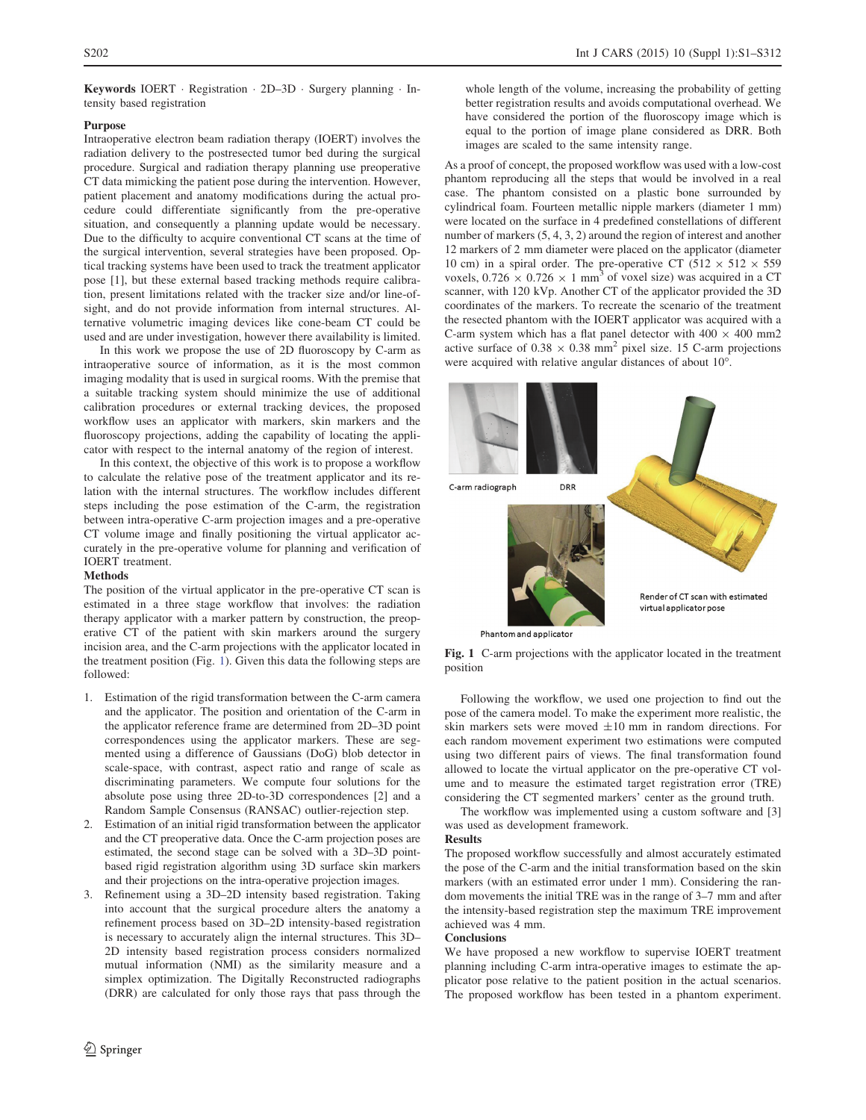Keywords IOERT · Registration · 2D-3D · Surgery planning · Intensity based registration

### Purpose

Intraoperative electron beam radiation therapy (IOERT) involves the radiation delivery to the postresected tumor bed during the surgical procedure. Surgical and radiation therapy planning use preoperative CT data mimicking the patient pose during the intervention. However, patient placement and anatomy modifications during the actual procedure could differentiate significantly from the pre-operative situation, and consequently a planning update would be necessary. Due to the difficulty to acquire conventional CT scans at the time of the surgical intervention, several strategies have been proposed. Optical tracking systems have been used to track the treatment applicator pose [1], but these external based tracking methods require calibration, present limitations related with the tracker size and/or line-ofsight, and do not provide information from internal structures. Alternative volumetric imaging devices like cone-beam CT could be used and are under investigation, however there availability is limited.

In this work we propose the use of 2D fluoroscopy by C-arm as intraoperative source of information, as it is the most common imaging modality that is used in surgical rooms. With the premise that a suitable tracking system should minimize the use of additional calibration procedures or external tracking devices, the proposed workflow uses an applicator with markers, skin markers and the fluoroscopy projections, adding the capability of locating the applicator with respect to the internal anatomy of the region of interest.

In this context, the objective of this work is to propose a workflow to calculate the relative pose of the treatment applicator and its relation with the internal structures. The workflow includes different steps including the pose estimation of the C-arm, the registration between intra-operative C-arm projection images and a pre-operative CT volume image and finally positioning the virtual applicator accurately in the pre-operative volume for planning and verification of IOERT treatment.

# **Methods**

The position of the virtual applicator in the pre-operative CT scan is estimated in a three stage workflow that involves: the radiation therapy applicator with a marker pattern by construction, the preoperative CT of the patient with skin markers around the surgery incision area, and the C-arm projections with the applicator located in the treatment position (Fig. 1). Given this data the following steps are followed:

- 1. Estimation of the rigid transformation between the C-arm camera and the applicator. The position and orientation of the C-arm in the applicator reference frame are determined from 2D–3D point correspondences using the applicator markers. These are segmented using a difference of Gaussians (DoG) blob detector in scale-space, with contrast, aspect ratio and range of scale as discriminating parameters. We compute four solutions for the absolute pose using three 2D-to-3D correspondences [2] and a Random Sample Consensus (RANSAC) outlier-rejection step.
- 2. Estimation of an initial rigid transformation between the applicator and the CT preoperative data. Once the C-arm projection poses are estimated, the second stage can be solved with a 3D–3D pointbased rigid registration algorithm using 3D surface skin markers and their projections on the intra-operative projection images.
- 3. Refinement using a 3D–2D intensity based registration. Taking into account that the surgical procedure alters the anatomy a refinement process based on 3D–2D intensity-based registration is necessary to accurately align the internal structures. This 3D– 2D intensity based registration process considers normalized mutual information (NMI) as the similarity measure and a simplex optimization. The Digitally Reconstructed radiographs (DRR) are calculated for only those rays that pass through the

whole length of the volume, increasing the probability of getting better registration results and avoids computational overhead. We have considered the portion of the fluoroscopy image which is equal to the portion of image plane considered as DRR. Both images are scaled to the same intensity range.

As a proof of concept, the proposed workflow was used with a low-cost phantom reproducing all the steps that would be involved in a real case. The phantom consisted on a plastic bone surrounded by cylindrical foam. Fourteen metallic nipple markers (diameter 1 mm) were located on the surface in 4 predefined constellations of different number of markers (5, 4, 3, 2) around the region of interest and another 12 markers of 2 mm diameter were placed on the applicator (diameter 10 cm) in a spiral order. The pre-operative CT ( $512 \times 512 \times 559$ voxels,  $0.726 \times 0.726 \times 1$  mm<sup>3</sup> of voxel size) was acquired in a CT scanner, with 120 kVp. Another CT of the applicator provided the 3D coordinates of the markers. To recreate the scenario of the treatment the resected phantom with the IOERT applicator was acquired with a C-arm system which has a flat panel detector with  $400 \times 400$  mm2 active surface of  $0.38 \times 0.38$  mm<sup>2</sup> pixel size. 15 C-arm projections were acquired with relative angular distances of about  $10^{\circ}$ .



Phantom and applicator

Fig. 1 C-arm projections with the applicator located in the treatment position

Following the workflow, we used one projection to find out the pose of the camera model. To make the experiment more realistic, the skin markers sets were moved  $\pm 10$  mm in random directions. For each random movement experiment two estimations were computed using two different pairs of views. The final transformation found allowed to locate the virtual applicator on the pre-operative CT volume and to measure the estimated target registration error (TRE) considering the CT segmented markers' center as the ground truth.

The workflow was implemented using a custom software and [3] was used as development framework.

### Results

The proposed workflow successfully and almost accurately estimated the pose of the C-arm and the initial transformation based on the skin markers (with an estimated error under 1 mm). Considering the random movements the initial TRE was in the range of 3–7 mm and after the intensity-based registration step the maximum TRE improvement achieved was 4 mm.

## **Conclusions**

We have proposed a new workflow to supervise IOERT treatment planning including C-arm intra-operative images to estimate the applicator pose relative to the patient position in the actual scenarios. The proposed workflow has been tested in a phantom experiment.